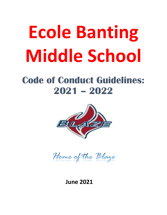# **Ecole Banting Middle School**

# **Code of Conduct Guidelines: 2021 – 2022**



Home of the Blaze

 **June 2021**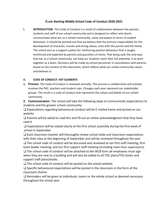# **École Banting Middle School Code of Conduct 2020-2021**

**I. INTRODUCTION** This Code of Conduct is a result of collaboration between the parents, students and staff of our school community and is designed to reflect and clearly communicate what we, as a school community, value and expect in terms of student behaviour. It should be pointed out that we believe that the primary responsibility for the development of character, morals and strong values, rests with the parent and the family. The school acts as a support system for reinforcing positive behaviour that is taught, reinforced and expected by parents and guardians at home. That being said, the only way that we, as a school community, can help our students reach their full potential, is to work together as a team. Decisions will be made by school personnel, in consultation with parents, based on the content of this document, which reflects what our school community values and believes in.

# **II. CODE OF CONDUCT: KEY ELEMENTS**

**1. Process**: The Code of Conduct is reviewed annually. This process is collaborative and actively involves the PAC, teachers and student reps. Changes each year represent our stakeholder groups. The result is a code of conduct that represents the values and beliefs of our school community.

**2. Communication**: The school will take the following steps to communicate expectations to students and the greater school community:

 $\Box$  Expectations regarding behavioural conduct will be E-mailed home and posted on our website

❑ Parents will be asked to read this and fill out an online acknowledgment that they have read it

 $\Box$  Expectations will be stated clearly at the first school assembly during the first week of school in September

 $\Box$  Each classroom teacher will thoroughly review school-wide and classroom expectations with their class at the beginning of September and will be reviewed throughout the year

 $\square$  The school code of conduct will be discussed and reviewed at our first staff meeting, first team leader meeting, and our first support staff meeting (including noon hour supervisors).  $\square$  The school code of conduct will be attached to the WCB form all employees must sign when they are new to a building and will also be added to all TOC plans/TOC books and support staff plans/books.

❑ The school code of conduct will be posted on the school website

 $\square$  Specific behavioural expectations will be posted in the classroom in the form of the classroom charter

 $\square$  Reminders will be given to individuals, teams or the whole school as deemed necessary throughout the school year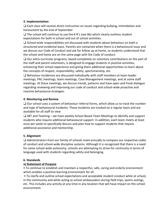# **3. Implementation**

❑ Each class will receive direct instruction on issues regarding bullying, intimidation and harassment by the end of September

 $\Box$  The school will continue to use the 6 R's (see 6b) which clearly outlines student expectations for both in school and out of school activities.

❑ School-wide responsibilities are discussed with students about behaviour on both a structured and incidental basis. Parents are contacted when there is a behavioural issue and we discuss our Code of Conduct and ask for follow up at home, so students understand that the school and home are on the same page with the Code of conduct.

❑ Our extra-curricular programs, based completely on voluntary contributions on the part of the staff and parent volunteers, is designed to engage students in positive activities, enhancing their school experience and giving them additional opportunities to learn about the concepts of respect, responsibility, safety, sportsmanship, etc.

 $\square$  Behaviour incidences are discussed individually with staff members at team leader meetings, PAC meetings, team meetings, Case Management meetings, and at some staff meetings. At these meetings, we discuss trends, patterns and have open and frank dialogue regarding reviewing and improving our code of conduct and school-wide proactive and reactive behavioural strategies

# **4. Monitoring and Review**

❑ Our school uses a system of behaviour referral forms, which allow us to track the number and type of behavioural incidents. These incidents are tracked on a regular basis and are available for all staff to view

 $\Box$  SBT and Teaming – we have weekly School Based Team Meetings to identify and support students who require additional behavioural support. In addition, each team meets at least once per week to specifically discuss and plan how to support students that require additional assistance and mentorship.

# **5. Alignment**

❑ Administrators from our family of schools meet annually to compare our respective codes of conduct and school-wide discipline systems. Although it is recognized that there is a need for some school-wide autonomy, schools are attempting to strive for continuity in terms of language used with students regarding safety and belonging.

# **6. Standards**

# **a) Statement of Purpose**

• To continue to establish and maintain a respectful, safe, caring and orderly environment which enables a positive learning environment for all.

• To clarify and outline school expectations and acceptable student conduct while at school, in the community and while acting as school ambassadors during field trips, sports outings, etc. This includes any activity at any time in any location that will have impact on the school environment.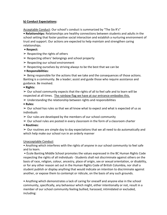# **b) Conduct Expectations:**

Acceptable Conduct: Our school's conduct is summarized by "The Six R's"

**• Relationships:** Relationships are healthy connections between students and adults in the school setting that foster positive social interaction and establish a nurturing environment of trust and support. Our actions are expected to help maintain and strengthen caring relationships.

- **Respect:**
- $\triangleright$  Respecting the rights of others
- $\triangleright$  Respecting others' belongings and school property
- $\triangleright$  Respecting our school environment
- $\triangleright$  Respecting ourselves by striving always to be the best that we can be
- **Responsibilities:**

 $\triangleright$  Being responsible for the actions that we take and the consequences of those actions. Banting is a community. Be a leader; assist and guide those who require assistance and guidance. Be involved.

# **• Rights:**

 $\geq 0$ ur school community expects that the rights of all to feel safe and to learn will be respected at all times. The rainbow flag we have at our entrance embodies this.

 $\triangleright$  Understanding the relationship between rights and responsibilities

**• Rules:** 

 $\geq$  Our school has rules so that we all know what to expect and what is expected of us as individuals

- $\geq 0$ ur rules are developed by the members of our school community
- $\geq 0$ ur school rules are posted in every classroom in the form of a classroom charter
- **Routines:**

 $\geq 0$ ur routines are simple day to day expectations that we all need to do automatically and which help make our school run in an orderly manner

# Unacceptable Conduct

• Anything which interferes with the rights of anyone in our school community to feel safe and to learn.

• École Banting Middle School promotes the values expressed in the BC Human Rights Code respecting the rights of all individuals - Students shall not discriminate against others on the basis of race, religion, colour, ancestry, place of origin, sex or sexual orientation, or disability, or for any other reason set out in the Human Rights Code of British Columbia, nor shall a student publish or display anything that would indicate an intention to discriminate against another, or expose them to contempt or ridicule, on the basis of any such grounds.

• Anything which demonstrates a lack of caring for oneself and anyone else in the school community, specifically, any behaviour which might, either intentionally or not, result in a member of our school community feeling bullied, harassed, intimidated or excluded, including: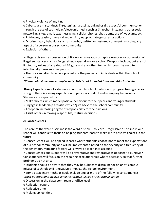o Physical violence of any kind

o Cyberspace misconduct: Threatening, harassing, unkind or disrespectful communication through the use of technology/electronic media such as Snapchat, Instagram, other social networking sites, email, text messaging, cellular phones, chatrooms, use of webcams, etc. o Putdowns, teasing, name calling, unkind/inappropriate gestures or actions

o Discriminatory behaviour such as a verbal, written or gestured comment regarding any aspect of a person in our school community

# o Exclusion of others

• Illegal acts such as possession of fireworks, a weapon or replica weapon, or possession of illegal substances such as E-cigarettes, vapes, drugs or alcohol. Weapons include, but are not limited to, knives of any kind, all BB guns and any other item which could be used to intentionally harm another person.

• Theft or vandalism to school property or the property of individuals within the school community

*\*These behaviours are examples only. This is not intended to be an all-inclusive list.*

**Rising Expectations** - As students in our middle school mature and progress from grade six to eight, there is a rising expectation of personal conduct and exemplary behaviours. Students are expected to:

- Make choices which model positive behaviour for their peers and younger students
- Engage in leadership activities which 'give back' to the school community
- Accept an increasing degree of responsibility for their actions
- Assist others in making responsible, mature decisions

# **c) Consequences**

The core of the word discipline is the word disciple – to learn. Progressive discipline in our school will continue to focus on helping students learn to make more positive choices in the future.

• Consequences will be applied in cases where students choose not to meet the expectations of our school community and will be implemented based on the severity and frequency of the behaviour. Mitigating factors will always be taken into account.

• Consequences and support will be preventative and restorative as opposed to punitive • Consequences will focus on the repairing of relationships where necessary so that further problems do not arise.

• Students should be aware that they may be subject to discipline for on or off campus misuse of technology if it negatively impacts the school environment.

• Some disciplinary methods could include one or more of the following consequences: -*Most all situations involve some restorative justice or restorative action*

o Discussion at the classroom, team or office level

o Reflection papers

o Reflective time

o Making up lost time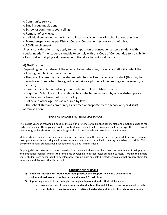o Community service

o Small group mediations

o School or community counselling

o Removal of privileges

o Individual behaviour support plans o Informal suspension – in school or out of school

o Formal suspension as per District Code of Conduct – in school or out of school

o RCMP involvement

Special considerations may apply to the imposition of consequences on a student with special needs if the student is unable to comply with this Code of Conduct due to a disability of an intellectual, physical, sensory, emotional, or behavioural nature.

# **d) Notification**:

Depending on the nature of the unacceptable behaviour, the school staff will contact the following people, in a timely manner:

• The parent or guardian of the student who has broken the code of conduct (this may be through a written note to be signed, an email or a phone call, depending on the severity of the issue)

- Parents of a victim of bullying or intimidation will be notified directly
- Coquitlam School District officials will be contacted as required by school district policy if there has been a breach of district policy
- Police and other agencies as required by law
- The school staff and community as deemed appropriate by the school and/or district administration

# **SPECIFICS TO ECOLE BANTING MIDDLE SCHOOL**

The middle years of growing up-ages 11 through 14 are times of rapid physical, mental, and emotional change for early adolescents. These young people learn best in an educational environment that encourages them to convert their energy and enthusiasm into knowledge and skills. Middle schools provide that environment.

Middle school teachers, counselors and support staff understand the unique needs of early adolescence. Learning takes place in a safe, nurturing environment where students explore while discovering new talents and skills. This environment helps students build confidence and a positive self-image.

As young children mature and move towards adolescence, middle schools help them become aware of their physical and emotional changes, while at the same time developing skills that foster academic success. Through the middle years, students are encouraged to develop new learning-skills and self-directed techniques that prepare them for secondary and the years that lie beyond.

# **BANTING SCHOOL GOALS**

- **1) Enhancing inclusive restorative classroom practices that support the diverse academic and socioemotional needs of our learners via the new BC curriculum.**
- **2) Supporting students in becoming increasingly independent and critical thinkers who:**
	- **take ownership of their learning and understand that risk taking is a part of personal growth**
	- **contribute in a positive manner to actively build and maintain a healthy school community**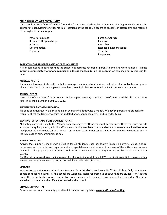#### **BUILDING BANTING'S COMMUNITY**

Our school motto is "PRIDE", which forms the foundation of school life at Banting. Banting PRIDE describes the appropriate behaviours for students in all locations of the school, is taught to students in classrooms and referred to throughout the school year.

**Power of Courage <b>Force de Courage Force de Courage R**espect & **R**esponsibility **I**nclusion **I**nclusion **E**mpathie **D**etermination **R**espect & **R**esponsabilité **E**mpathy **T**énacité

**E**loquence

#### **PARENT PHONE NUMBERS AND ADDRESS CHANGES**

It is of paramount importance that the school has accurate records of parents' home and work numbers. **Please inform us immediately of phone number or address changes during the year,** so we can keep our records up-todate.

#### **MEDICAL ALERTS**

If your child has a medical condition that requires precautionary treatment of medication at school or has symptoms of which we should be aware, please complete a **Medical Alert Form** found online in our community portal.

#### **SCHOOL OFFICE**

The school office is open from 8:00 a.m. until 4:00 p.m. Monday to Friday. The office staff will be pleased to assist you. The school number is 604-939-9247.

#### **NEWSLETTER & COMMUNICATION**

We send communiques via E-mail home an average of about twice a month. We advise parents and students to regularly check the Banting website for updated news, announcements, and calendar items.

#### **BANTING PARENT ADVISORY COUNCIL (P.A.C.)**

All Banting parents belong to the PAC and are encouraged to attend the monthly meetings. These meetings provide an opportunity for parents, school staff and community members to share ideas and discuss educational issues as they pertain to our middle school. Watch for meeting dates in our school newsletter, the PAC Newsletter or visit the PAC page of our community portal.

#### **SCHOOL FEES & KEV**

Activity fees support school wide activities for all students, such as: student leadership events, clubs, cultural performances, lock rental and replacement, and special event celebrations. If payment of the activity fee causes a financial hardship, please contact the school principal. Middle school activity fees are set by the School Board at \$35.00.

The District has moved to an online payment and permission portal called KEV. Notifications of field trips and other events that require payment or permission will be emailed via this portal.

#### **VISITORS**

In order to support a safe academic environment for all students, we have a No Visitors Policy. Only parents and people conducting business at the school are welcome. Relatives from out of town that are students or students from other schools who are on a non-instructional day, are not expected to visit during the school day. All visitors are asked to check in at the office upon arrival at the school.

#### **COMMUNITY PORTAL**

Be sure to check our community portal for information and updates. **[www.sd43.bc.ca/banting](http://www.sd43.bc.ca/banting)**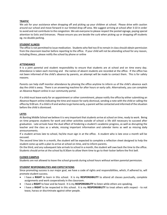#### **TRAFFIC**

We ask for your assistance when dropping off and picking up your children at school. Please drive with caution around our school and move forward in our limited drop off area. We suggest arriving at school after 3:10 in order to avoid and not contribute to the congestion. We ask everyone to please respect the posted signage, paying special attention to Exits and Entrances. Please ensure you are beside the curb when picking up or dropping off students eg.-no double parking.

#### **STUDENT ILLNESS**

The office is not permitted to issue medication. Students who feel too ill to remain in class should obtain permission from the classroom teacher before reporting to the office. If your child will not be attending school for any reason, including illness, please notify the school by phone or online

#### **ATTENDANCE**

It is a joint parental and student responsibility to ensure that students are at school and on time every day. Attendance is taken each morning and the names of absent students are recorded at the office. If the office has not been informed of the child's absence by parents, an attempt will be made to contact them. This is for safety reasons.

Parents can help staff monitor attendance by phoning the office anytime to inform us of the child's absence each day the child is away. There is an answering machine for after hours or early calls. Alternatively, you can complete an Absence Report online in our community portal.

If a child must leave early for an appointment or other commitment, please notify the office by either submitting an Absence Report online indicating the time and reason for early dismissal, sending a note with the child or calling the office by 9:00 am. If a child is ill and wishes to go home early, a parent will be contacted and informed of the situation before the child is dismissed.

#### **LATES**

At Banting Middle School we believe it is very important that students arrive at school on time, ready to work. Being on time prepares students for work and other activities outside of school: a life skill necessary to succeed after graduation. Late arrivals have the dual effect of hindering a student's academic progress, as well as disrupting the teacher and the class as a whole, missing important information and calendar items as well as missing daily announcements.

If a student arrives late to school, he/she must sign in at the office. A student who is late once a month will be excused.

The second time late in a month, the student will be expected to complete a reflection sheet designed to help the student come up with a plan to arrive at school on time, and to inform parents.

On the third, and any subsequent late arrivals to school in a month, the student will owe back the time to the office. Students should arrive at the school by 8:30am to allow them time to go to their locker before the first bell.

#### **CLOSED CAMPUS**

Students are not allowed to leave the school grounds during school hours without written parental permission.

#### **STUDENT RESPONSIBILITIES AND EXPECTATIONS**

Since promoting success is our major goal, we have a code of rights and responsibilities, which, if adhered to, will promote student success.

- I have a **RIGHT** to learn in this school. It is my **RESPONSIBILITY** to attend all classes punctually, complete assignments and work cooperatively in the classroom.
- I have a **RIGHT** to hear and be heard. It is my **RESPONSIBILITY** to listen while others are speaking.
- I have a **RIGHT** to be respected in this school. It is my **RESPONSIBILITY** to treat others with respect to not tease, harass or discriminate against other people.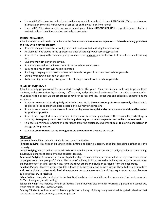- I have a **RIGHT** to be safe at school, and on the way to and from school. It is my **RESPONSIBILITY** to not threaten, intimidate or physically hurt anyone at school or on the way to or from school.
- I have a **RIGHT** to privacy and to my own personal space. It is my **RESPONSIBILITY** to respect the space of others, maintain school cleanliness and respect school property.

#### **SCHOOL BEHAVIOUR**

School boundaries will be clearly laid out at the first assembly. **Students are expected to follow boundary guidelines and stay within school property.**

- Students **may not** leave the school grounds without permission during the school day.
- All waste is to be placed in the appropriate place according to our recycling program.
- Students may play in the field and playground area, but **may not** play in the front of the school or side parking lots.
- Students **may not** play in the ravine.
- Students **must** follow the instructions of the noon hour supervisors.
- Bullying and rough play **will not** be tolerated.
- Smoking or vaping or possession of any said items is **not** permitted on or near school grounds.
- Gum is **not** allowed in school at any time.
- Skateboarding, scootering, biking and rollerblading is **not** allowed on school grounds.

#### **ASSEMBLY BEHAVIOUR**

School assembly programs will be presented throughout the year. They may include multi-media productions, speakers, and presentations by students, staff, parents, and professional performers from outside our community. At Banting Middle School we expect proper behavior in our assemblies. Procedures and behavioral expectations are as follows:

- Students are expected to **sit quietly with their class. Go to the washroom prior to an assembly** All waste is to be placed in the appropriate place according to our recycling program.
- Students are expected to **walk to and from assembly areas in a quiet and orderly manner and should be seated as quickly as possible.**
- Students are expected to be courteous. Appreciation is shown by applause rather than yelling, whistling, or shouting. **Derogatory sounds such as booing, chanting..etc. are not respectful and will not be tolerated.**
- To ensure a minimum amount of disturbance from the audience, students should **be alert to the person in charge of the program.**
- Students are to **remain seated throughout the program** until they are dismissed.

#### **BULLYING**

Unacceptable bullying behaviors include but are not limited to:

**Physical Bullying:** This type of bullying includes hitting and kicking a person, or taking/damaging another person's property.

**Verbal Bullying:** Verbal bullies use words to hurt or humiliate another person. Verbal bullying includes name calling, insulting, making racist comments and constant teasing.

**Relational Bullying:** Relational or relationship bullies try to convince their peers to exclude or reject a certain person or people from their group of friends. This type of bullying is linked to verbal bullying and usually occurs when children (most often girls) spread nasty rumours about others or exclude an ex-friend from the peer group.

**Reactive Victim:** Reactive victims straddle a fence of being a bully and being a victim. These bullies are impulsive and react quickly to intentional physical encounters. In some cases reactive victims begin as victims and become bullies as they try to retaliate.

**Cyber Bulling:** Using a technological device to intentionally hurt or humiliate another person ie. Facebook, snapchat, Tic Talk, Instagram, email, texting

**Sexual Bullying:** This includes gender putdowns. Sexual bullying also includes touching a person in a sexual way which makes them feel uncomfortable.

Banting Middle School has a zero tolerance policy for bullying. Bullying is any sustained, targeted behaviour that causes or creates pain or injury to another person.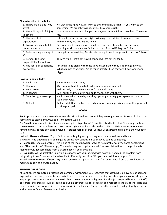#### **Characteristics of the Bully**

| 1. Thinks life is a one- way<br>street | My way is the right way. If I want to do something, it's right. If you want to do<br>something, it's probably wrong, unless I say you're right. |
|----------------------------------------|-------------------------------------------------------------------------------------------------------------------------------------------------|
|                                        |                                                                                                                                                 |
| 2. Has a disregard of injury           | I don't have to care what happens to anyone but me. I don't owe them. They owe                                                                  |
| to others                              | me.                                                                                                                                             |
| 3. Has unrealistic                     | I should be number one overnight. Winning is everything. If someone disagrees                                                                   |
| expectations                           | with me, they are putting me down.                                                                                                              |
| 4. Is always looking to take           | I'm not going to do any more than I have to. They should be glad I'm doing                                                                      |
| the easy way out                       | anything at all. I can always find a short cut. Too bad if they don't like it.                                                                  |
| 5. Believes lying is a way of          | I can get out of anything. My story is the right one. I can prove it, but I don't have                                                          |
| life                                   | to.                                                                                                                                             |
| 6. Refuses to accept                   | They're lying. That's not how it happened. It's not my fault.                                                                                   |
| responsibility for actions             |                                                                                                                                                 |
| 7. Has sense of superiority            | I'm going to go along with these guys 'cause I know they'll do things my way.                                                                   |
| over others.                           | What a bunch of wussies: I'm so much smarter than they are. I'm stronger and                                                                    |
|                                        | bigger.                                                                                                                                         |

#### **How to Handle a Bully**

| 1. Avoidance              | Know when to walk away.                                                              |
|---------------------------|--------------------------------------------------------------------------------------|
| 2. Humour                 | Use humour to defuse a bully who may be about to attack.                             |
| 3. Be assertive           | Tell the bully to "leave me alone!" Then walk away.                                  |
| 4. In general             | Seek out friendly children and build friendships with them.                          |
| 5. Give the right message | Avoid the victim stance by standing up straight, using good eye contact and a        |
|                           | loud clear voice.                                                                    |
| 6. Get help               | Tell an adult that you trust; a teacher, noon hour supervisor, counsellor, principal |
|                           | or vice-principal.                                                                   |

#### **SOLVES**

**S – Stop.** If you or someone else is in a conflict situation don't just let it happen or get worse. Make a choice to do something to stop it and *prevent* it from getting worse.

**O - Own it.** Ask yourself: Am I involved directly in this problem? Or am I involved indirectly? Either way, make a choice to own it on some level and take a stand. (Don't go for a ride on the 'SLED'. SLED is a useful acronym to remind us why people don't get involved. It stands for: S: scared; L: lazy; E: entertained; D: don't know what to do.)

**L – Look, Listen and Learn.** Try to find out what is going on by looking at facial expressions and body language. Find out what is happening and assess how serious it is so that you can do something.

**V – Verbalize.** Use your words. This is one of the most powerful ways to help problem solve. Some suggestions are: 'That's not cool'; 'Please stop'; 'You are forcing me to get some help'; or use distraction. If the problem is really serious, get some help from a trusted adult if at all possible.

**E – Evaluate.** Ask yourself the following questions: Are you satisfied with how you handled the problem? Are things alright now? How would you handle it differently next time? Do you need additional support?

**S- Seek advice or report if necessary.** Find some extra support by asking for some advice from a trusted adult or making a report to a trusted adult.

#### **STUDENT DRESS CODE**

At Banting, we promote a professional learning environment. We recognize that clothing is an avenue of personal expression, however, students are asked not to wear articles of clothing which display alcohol, drugs, or inappropriate content. Students whose clothing choices amount to degrees of nudity (e.g. exposed buttocks, midriff, pectorals, and breasts), will be asked to put on different attire. Modesty and respect is the guideline. Hats and hoods/hoodies are not permitted to be worn within the building. This permits the school to readily identify strangers and promotes face to face communication.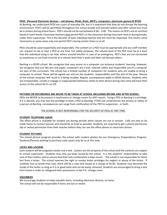#### **PEDS** (**Personal Electronic Devices – cell phones, iPods, iPads, MP3's, computers, electronic games) & BYOD**

At Banting, we understand PEDS are a part of everyday life, but it is important that they do not disrupt the learning environment. PED's will be permitted throughout the school (inside and outside) before and after school but must be in lockers during school hours. PED's should not be out between 8:38 – 3:00. This means no PED's out at nutrition break or lunch break. Classroom teachers may permit PED's in the classroom during classroom time or during breaks, under their supervision. This is the decision of each individual teacher and this must be respected. This means some classrooms or some areas may not permit PED's during certain times or at all.

PEDs should be used respectfully and responsibly. The content on a PED must be appropriate and any staff member can request to see or hear a PED at any time. For safety purposes, the volume level of the PED must be at a level that the individual using it can hear others around him/her in case of an emergency. PED's that are not connected to earphones or ear buds must be at a volume level that is quiet and does not disrupt others.

Banting is a BYOD school. We recognize that easy access to a computer can enhance students' learning. However, we recognize that just like pen and paper, computers are a tool. Internet safety and responsible use of a computer are part of the curriculum. The school has a limited number of computers for students who are unable to bring a computer to school. These will be signed out and are the students' responsibility until the end of the year. Misuse of the school computer will result in it being recalled. Regular consequences apply to BYOD devices. Students who are irresponsible, unsafe or engage in inappropriate behaviour while on their device during class time will have their access to the school Wi-Fi cut off.

#### **PICTURES OR RECORDINGS ARE NEVER TO BE TAKEN AT SCHOOL INCLUDING BEFORE AND AFTER SCHOOL.**

PEDs are NEVER to be present in washrooms or change rooms for ANY reason. Using a PED at Banting is a privilege. If it is abused, you may lose the privilege to have a PED at Banting. If PED use compromises the privacy or safety of a person at Banting, consequences can range from confiscation of the PED to suspension - or both.

#### THE SCHOOL IS NOT RESPONSIBLE FOR THE SECURITY OF PEDs AT ANY TIME.

#### **STUDENT TELEPHONE USAGE**

The office phone is available for student use during periods when classes are not in session. Calls are only to be made home to contact parents and should be as brief as possible. Students are required to get a phone permission slip or verbal permission from their teacher before they can use the office phone or classroom phone.

#### **STUDENT PICTURES**

The school picture program provides the school with student photos for our Emergency Preparedness Program. Students/Parents wishing to purchase color packs may do so at this time.

#### **LOCKS AND LOCKERS**

Each student will be assigned a locker and a lock. Lockers are the property of the school and the contents are subject to school supervision. Students may only use locks issued by the school. It is the students' responsibility to take care of their lockers and to ensure that their lock combination is kept secret. The school is not responsible for items lost from a locker. The school reserves the right to revoke locker privileges for neglect or abuse of the locker. If students lose or break their lock, there will be a new lock issued at a charge of \$5.00. Students may decorate the inside of the locker as long as it is in good taste and can be easily removed. Students are encouraged to bring a lock from home in order to safeguard their possessions in the P.E. change room.

#### **VALUABLES**

We encourage students to keep valuable items, including electronic devices, at home. The school will not be responsible if items are lost or stolen.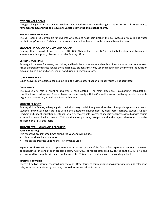#### **GYM CHANGE ROOMS**

The gym change rooms are only for students who need to change into their gym clothes for PE. **It is important to remember to never bring and leave any valuables into the gym change rooms.**

#### **MULTI – PURPOSE ROOM**

The MP Room area is available for students who need to heat their lunch in the microwaves, or require hot water for their soup/noodles. Each team has a common area that has a hot water urn and two microwaves.

#### **BREAKFAST PROGRAM AND LUNCH PROGRAM**

Banting offers a breakfast program from 8:10 – 8:30 AM and lunch from 12:15 – 12:45PM for identified students. If you require this support, please contact the Banting office.

#### **VENDING MACHINES**

Beverage dispensers for water, fruit juices, and healthier snacks are available. Machines are to be used at your own risk as different companies service these machines. Students may only use the machines in the morning, at nutrition break, at lunch-time and after school, not during or between classes.

#### **LUNCH DELIVERIES**

Lunch deliveries by outside agencies, eg: Skip the Dishes, Uber Eats or pizza deliveries is not permitted.

#### **COUNSELLOR**

The counsellor's role in assisting students is multifaceted. The main areas are: counselling, consultation, coordination and education. The youth worker works closely with the Counsellor to assist with any problem students might be experiencing, as well as liaising with home.

#### **STUDENT SERVICES**

Banting Middle School, in keeping with the inclusionary model, integrates all students into grade appropriate teams. Students' individual needs are met within the classroom environment by classroom teachers, student support teachers and special education assistants. Students receive help in areas of specific weakness, as well as with course work and homework when needed. This additional support may take place within the regular classroom or may be delivered on a "pull out" basis.

#### **STUDENT EVALUATION AND REPORTING**

#### **Formal reporting**:

This reporting occurs three times during the year and will include:

- Anecdotal teacher comments
- We assess progress utilizing the Performance Scales

Exploratory classes will issue a separate report at the end of each of the four or five exploration periods. These will be sent home at the end of each academic term. As of 2021, all report cards are now posted on the SD43 Portal and are accessed by computer via an account you create. This account continues on to secondary school.

#### **Informal Reporting:**

There will be two informal reports during the year. Other forms of communication to parents may include telephone calls, letters or interviews by teachers, counsellors and/or administrators.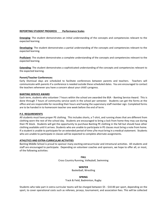#### **REPORTING STUDENT PROGRESS Performance Scales**

**Emerging**: The student demonstrates an initial understanding of the concepts and competencies relevant to the expected learning.

**Developing**: The student demonstrates a partial understanding of the concepts and competencies relevant to the expected learning.

**Proficient**: The student demonstrates a complete understanding of the concepts and competencies relevant to the expected learning.

**Extending**: The student demonstrates a sophisticated understanding of the concepts and competencies relevant to the expected learning.

#### **Parent/Teacher Conferences:**

Early Dismissal days are scheduled to facilitate conferences between parents and teachers. Teachers will communicate with parents if a conference is needed outside these scheduled dates. You are encouraged to contact the teachers whenever you have a concern about your child's progress.

#### **BANTING SERVICE AWARD**

Each term, students who volunteer 7 hours within the school are awarded the BSA - Banting Service Award. This is done through 7 hours of community service work in the school per semester. Students can get the forms at the office and are responsible for recording their hours and having the supervisory staff member sign. Completed forms are to be handed in to homeroom teacher one week before the end of term.

#### **P.E. REQUIREMENTS**

All students must have proper PE clothing. This includes shorts, a T-shirt, and running shoes that are different from clothing worn the rest of the school day. Students are encouraged to bring a lock from home they may use during their PE block. Students will get the opportunity to purchase Banting PE clothing in the fall but should have other clothing available until it arrives. Students who are unable to participate in PE classes must bring a note from home. If a student is unable to participate for an extended period of time s/he must bring in a medical statement. Students who are unable to participate in classes will be expected to complete alternate assignments.

#### **ATHLETICS AND EXTRA-CURRICULAR ACTIVITIES**

Banting Middle School is proud to sponsor many exciting extracurricular and intramural activities. All students and staff are encouraged to participate. Depending on volunteer coaches and sponsors, we hope to offer all, or most, of the following activities:

> **FALL** Cross Country Running, Volleyball, Swimming

> > **WINTER**

Basketball, Wrestling

**SPRING**

Track & Field, Badminton, Rugby

Students who take part in extra-curricular teams will be charged between \$5 - \$10.00 per sport, depending on the sport, to cover operational costs such as referees, jerseys, tournament, and association fees. This will be collected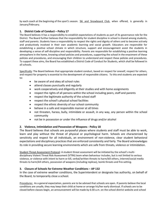by each coach at the beginning of the sport's season. Ski and Snowboard Club, when offered, is generally in January/February.

# **1. District Code of Conduct – Policy 17**

The Board believes it has a responsibility to establish expectations of students as part of its governance role for the District. The Board further believes that the responsibility for student discipline in school is shared among students, staff and parents. Students have a responsibility to respect the rights and dignity of others and to become actively and productively involved in their own academic learning and social growth. Educators are responsible for establishing a positive school climate in which structure, support and encouragement assist the students in developing a sense of self-discipline and responsibility. Parents are responsible for establishing a positive learning atmosphere in the home, knowing school policies and procedures, supporting the school in the enactment of these policies and procedures, and encouraging their children to understand and respect these policies and procedures. To support these aims, the Board has established a District Code of Conduct for Students, which shall be followed in all schools.

Specifically: The Board believes that appropriate student conduct, based on respect for oneself, respect for others, and respect for property is essential to the development of responsible citizens. To this end students are expected to:

- be aware of and obey all school rules
- attend classes punctually and regularly
- work cooperatively and diligently at their studies and with home assignments
- respect the rights of all persons within the school including peers, staff and parents
- respect the legitimate authority of the school staff
- respect the school's physical school facilities
- respect the ethnic diversity of our school community
- behave in a safe and responsible manner at all times
- not threaten, harass, bully, intimidate or assault, in any way, any person within the school community
- not be in possession or under the influence of drugs and/or alcohol

# **2. Violence, Intimidation and Possession of Weapons - Policy 18**

The Board believes that schools are purposeful places where students and staff must be able to work, learn and play without the threat of physical or psychological harm. Schools are characterized by sensitivity and respect for all individuals, an environment of non-violence, clear student behavioral expectations and disciplinary practices that are enforced consistently and fairly. The Board acknowledges its role in providing secure learning environments which are safe from threats, violence or intimidation.

Student Threat Assessment Protocol: A student threat assessment will be initiated by the school's multidisciplinary Violent Threat Risk Assessment (VTRA) team when behaviour includes, but is not limited to serious violence, or violence with intent to harm or kill, verbal/written threats to harm/kill others, internet/social media threats to harm/kill others, possession of weapons (including replicas), bomb threats and fire-setting.

# **3. Closure of Schools for Extreme Weather Conditions – AP 132**

In the case of extreme weather conditions, the Superintendent or designate has authority, on behalf of the Board, to temporarily close a school.

Procedures: As a general expectation, parents are to be advised that schools are open. If parents believe the local conditions are unsafe, they may keep their child at home or arrange his/her early dismissal. If schools are to be closed before classes begin, an announcement will be made by 6:30 a.m. on the school district website and school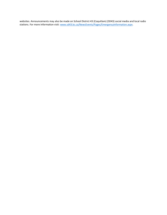websites. Announcements may also be made on School District 43 (Coquitlam) (SD43) social media and local radio stations. For more information visit[: www.sd43.bc.ca/NewsEvents/Pages/EmergencyInformation.aspx.](http://www.sd43.bc.ca/NewsEvents/Pages/EmergencyInformation.aspx)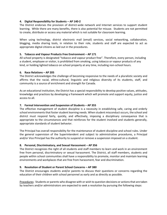#### **4. Digital Responsibility for Students – AP 140-2**

The District endorses the provision of district-wide network and Internet services to support student learning. While there are many benefits, there is also potential for misuse. Students are not permitted to create, distribute or access any material which is not suitable for classroom learning.

When using technology, district electronic mail (email) services, social networking, collaboration, blogging, media sharing tools, in relation to their role, students and staff are expected to act as appropriate digital citizens as laid out in the procedures.

#### **5. Tobacco and Vapour Products Free Environment – AP 171**

All school property is designated "tobacco and vapour product free". Therefore, every person, including a student, employee or visitor, is prohibited from smoking, using tobacco or vapour products of any kind, or holding lighted tobacco on school property at any time, including non-school hours.

#### **6. Race Relations – AP 205**

The District acknowledges the challenge of becoming responsive to the needs of a pluralistic society and affirms that the racial, ethno-cultural, linguistic and religious diversity of its students, staff, and community is a source of enrichment and strength for Canada.

As an educational institution, the District has a special responsibility to develop positive values, attitudes, knowledge and practices by developing a framework which will promote and support equity, justice and access to all.

#### **7. Formal Intervention and Suspension of Students – AP 355**

The effective management of student discipline is a necessity in establishing safe, caring and orderly school environments that foster student learning needs. When student misconduct occurs, the school and district must respond fairly, quickly, and effectively, imposing a disciplinary consequence that is appropriate to the circumstances and that reinforces for the student involved and students generally, appropriate standards of student behavior.

The Principal has overall responsibility for the maintenance of student discipline and school rules. Under the general supervision of the Superintendent and subject to administrative procedures, a Principal and/or Vice Principal has the authority to suspend or remove a suspension imposed on a student.

# **8. Personal, Discriminatory, and Sexual Harassment – AP 356**

The District recognizes the right of all students and staff members to learn and work in an environment free from personal, discriminatory or sexual harassment. The District, all staff members, students and people within school communities shall have a responsibility to promote, monitor and maintain learning environments and workplaces that are free from harassment, fear and discrimination.

# **9. Resolution of Student or Parent School Concerns – AP 380**

The District encourages students and/or parents to discuss their questions or concerns regarding the education of their children with school personnel as early and as directly as possible.

Procedures: Students or parents who disagree with or wish to question decisions or actions that are taken by teachers and/or administrators are expected to seek a resolution by pursuing the following steps: